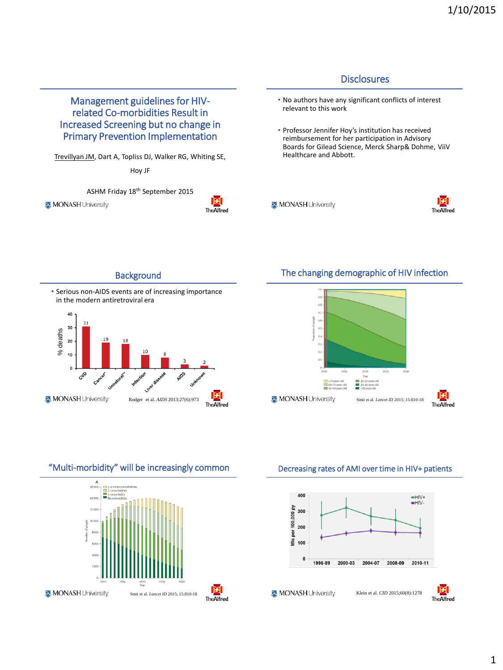

#### **Background**



### The changing demographic of HIV infection



"Multi-morbidity" will be increasingly common



#### Decreasing rates of AMI over time in HIV+ patients

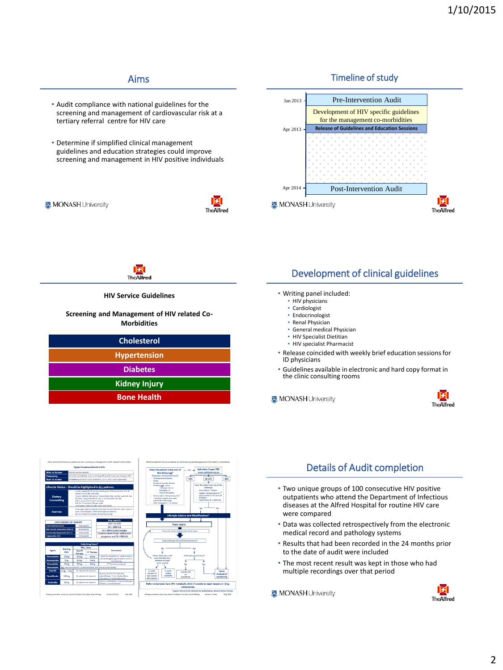### Aims

- Audit compliance with national guidelines for the screening and management of cardiovascular risk at a tertiary referral centre for HIV care
- Determine if simplified clinical management guidelines and education strategies could improve screening and management in HIV positive individuals

MONASH University



#### Timeline of study



**HIV Service Guidelines** 

#### **Screening and Management of HIV related Co-Morbidities**

| <b>Cholesterol</b>   |  |
|----------------------|--|
| <b>Hypertension</b>  |  |
| <b>Diabetes</b>      |  |
| <b>Kidney Injury</b> |  |
| <b>Bone Health</b>   |  |

### Development of clinical guidelines

#### • Writing panel included:

- HIV physicians
	- Cardiologist
- Endocrinologist
- Renal Physician
- General medical Physician
- HIV Specialist Dietitian
- HIV specialist Pharmacist
- Release coincided with weekly brief education sessions for ID physicians
- Guidelines available in electronic and hard copy format in the clinic consulting rooms

MONASH University





# Details of Audit completion

- Two unique groups of 100 consecutive HIV positive outpatients who attend the Department of Infectious diseases at the Alfred Hospital for routine HIV care were compared
- Data was collected retrospectively from the electronic medical record and pathology systems
- Results that had been recorded in the 24 months prior to the date of audit were included
- The most recent result was kept in those who had multiple recordings over that period

MONASH University

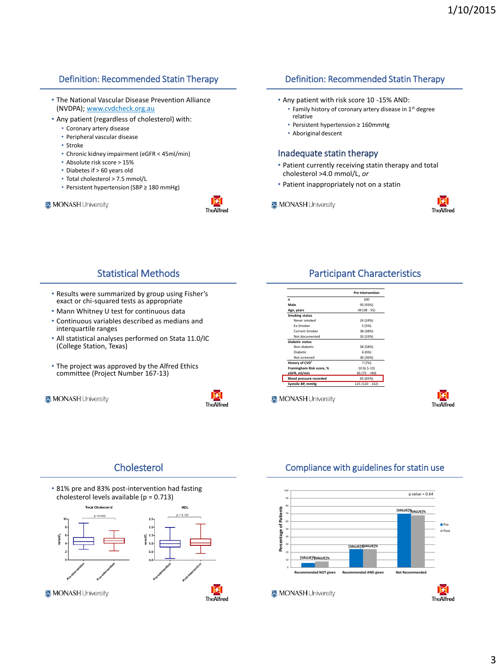### Definition: Recommended Statin Therapy

- The National Vascular Disease Prevention Alliance (NVDPA); www.cvdcheck.org.au
- Any patient (regardless of cholesterol) with:
	- Coronary artery disease
	- Peripheral vascular disease
	- Stroke
	- Chronic kidney impairment (eGFR < 45ml/min)
	- Absolute risk score > 15%
	- Diabetes if > 60 years old
	- Total cholesterol > 7.5 mmol/L
	- Persistent hypertension (SBP ≥ 180 mmHg)

#### MONASH University



### Definition: Recommended Statin Therapy

- Any patient with risk score 10 -15% AND:
	- Family history of coronary artery disease in 1<sup>st</sup> degree relative
	- Persistent hypertension ≥ 160mmHg
	- Aboriginal descent

#### Inadequate statin therapy

- Patient currently receiving statin therapy and total cholesterol >4.0 mmol/L, *or*
- Patient inappropriately not on a statin
- MONASH University



### Statistical Methods

- Results were summarized by group using Fisher's exact or chi-squared tests as appropriate
- Mann Whitney U test for continuous data
- Continuous variables described as medians and interquartile ranges
- All statistical analyses performed on Stata 11.0/IC (College Station, Texas)
- The project was approved by the Alfred Ethics committee (Project Number 167-13)
- MONASH University



人

### Participant Characteristics

|                                | <b>Pre Intervention</b> |
|--------------------------------|-------------------------|
| $\mathbf{r}$                   | 100                     |
| Male                           | 93 (93%)                |
| Age, years                     | 49 (38 - 55)            |
| <b>Smoking status</b>          |                         |
| Never smoked                   | 24 (24%)                |
| <b>Fx-Smoker</b>               | 5 (5%)                  |
| <b>Current Smoker</b>          | 38 (38%)                |
| Not documented                 | 33 (33%)                |
| <b>Diabetic status</b>         |                         |
| Non-diabetic                   | 58 (58%)                |
| Diabetic                       | 6(6%)                   |
| Not screened                   | 36 (36%)                |
| History of CVD <sup>+</sup>    | 7 (7%)                  |
| Framingham Risk score, %       | $10(6.5-13)$            |
| eGFR, ml/min                   | $85(75 - 90)$           |
| <b>Blood pressure recorded</b> | 65 (65%)                |
| Systolic BP, mmHg              | 125 (120 - 132)         |



### Cholesterol





### Compliance with guidelines for statin use

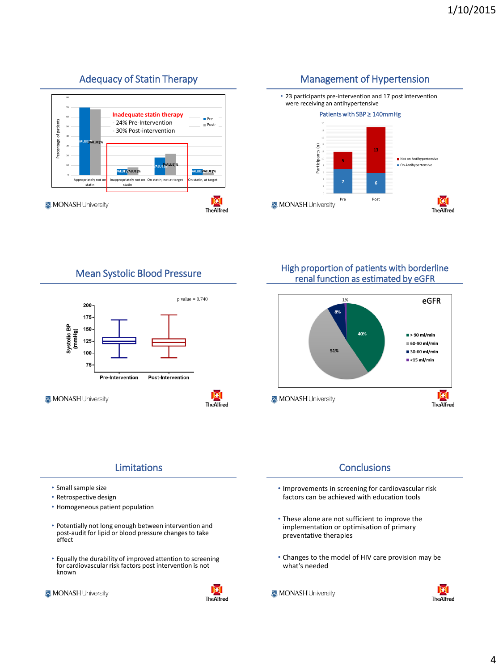#### Adequacy of Statin Therapy 60 70 80 **Inadequate statin therapy**



# Management of Hypertension



Mean Systolic Blood Pressure



High proportion of patients with borderline renal function as estimated by eGFR



## Limitations

- Small sample size
- Retrospective design
- Homogeneous patient population
- Potentially not long enough between intervention and post-audit for lipid or blood pressure changes to take effect
- Equally the durability of improved attention to screening for cardiovascular risk factors post intervention is not known

MONASH University



### **Conclusions**

- Improvements in screening for cardiovascular risk factors can be achieved with education tools
- These alone are not sufficient to improve the implementation or optimisation of primary preventative therapies
- Changes to the model of HIV care provision may be what's needed